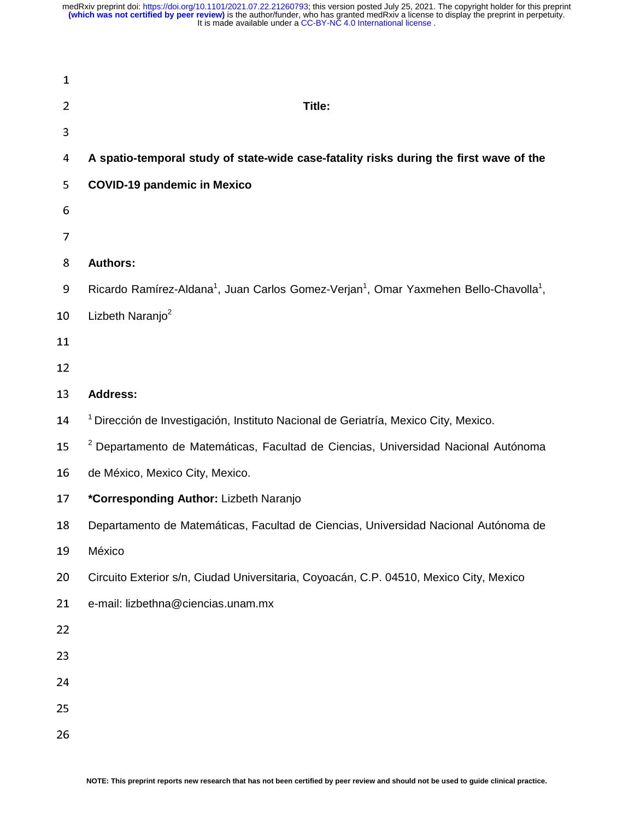| $\mathbf{1}$   |                                                                                                                           |
|----------------|---------------------------------------------------------------------------------------------------------------------------|
| $\overline{2}$ | Title:                                                                                                                    |
| 3              |                                                                                                                           |
| 4              | A spatio-temporal study of state-wide case-fatality risks during the first wave of the                                    |
| 5              | <b>COVID-19 pandemic in Mexico</b>                                                                                        |
| 6              |                                                                                                                           |
| 7              |                                                                                                                           |
| 8              | <b>Authors:</b>                                                                                                           |
| 9              | Ricardo Ramírez-Aldana <sup>1</sup> , Juan Carlos Gomez-Verjan <sup>1</sup> , Omar Yaxmehen Bello-Chavolla <sup>1</sup> , |
| $10\,$         | Lizbeth Naranjo <sup>2</sup>                                                                                              |
| 11             |                                                                                                                           |
| 12             |                                                                                                                           |
| 13             | <b>Address:</b>                                                                                                           |
| 14             | <sup>1</sup> Dirección de Investigación, Instituto Nacional de Geriatría, Mexico City, Mexico.                            |
| 15             | <sup>2</sup> Departamento de Matemáticas, Facultad de Ciencias, Universidad Nacional Autónoma                             |
| 16             | de México, Mexico City, Mexico.                                                                                           |
| 17             | *Corresponding Author: Lizbeth Naranjo                                                                                    |
| 18             | Departamento de Matemáticas, Facultad de Ciencias, Universidad Nacional Autónoma de                                       |
| 19             | México                                                                                                                    |
| 20             | Circuito Exterior s/n, Ciudad Universitaria, Coyoacán, C.P. 04510, Mexico City, Mexico                                    |
| 21             | e-mail: lizbethna@ciencias.unam.mx                                                                                        |
| 22             |                                                                                                                           |
| 23             |                                                                                                                           |
| 24             |                                                                                                                           |
| 25             |                                                                                                                           |
| 26             |                                                                                                                           |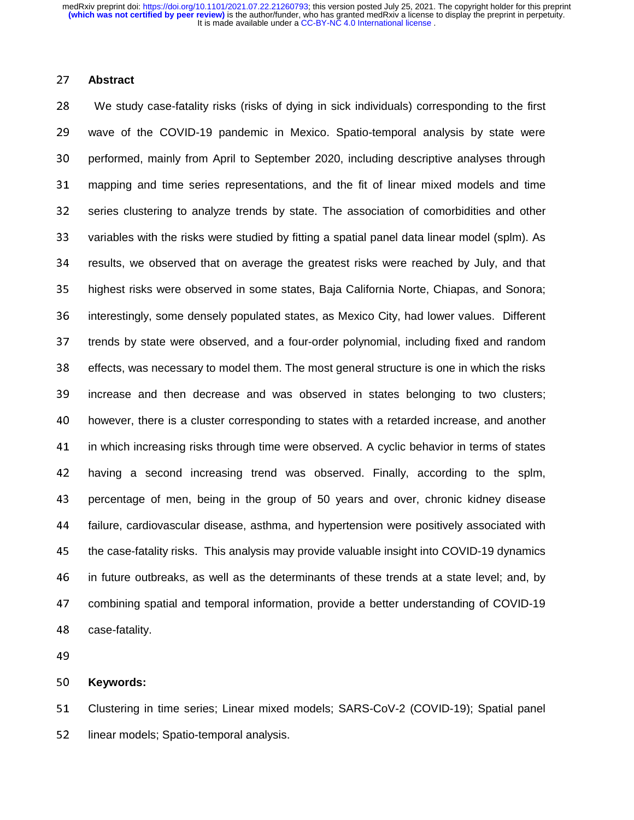#### <sup>27</sup>**Abstract**

<sup>28</sup>We study case-fatality risks (risks of dying in sick individuals) corresponding to the first <sup>29</sup>wave of the COVID-19 pandemic in Mexico. Spatio-temporal analysis by state were 30 performed, mainly from April to September 2020, including descriptive analyses through <sup>31</sup>mapping and time series representations, and the fit of linear mixed models and time 32 series clustering to analyze trends by state. The association of comorbidities and other 33 variables with the risks were studied by fitting a spatial panel data linear model (splm). As 34 results, we observed that on average the greatest risks were reached by July, and that 35 highest risks were observed in some states, Baja California Norte, Chiapas, and Sonora; 36 interestingly, some densely populated states, as Mexico City, had lower values. Different 37 trends by state were observed, and a four-order polynomial, including fixed and random 38 effects, was necessary to model them. The most general structure is one in which the risks 39 increase and then decrease and was observed in states belonging to two clusters; 40 however, there is a cluster corresponding to states with a retarded increase, and another 41 in which increasing risks through time were observed. A cyclic behavior in terms of states 42 having a second increasing trend was observed. Finally, according to the splm, 43 percentage of men, being in the group of 50 years and over, chronic kidney disease <sup>44</sup>failure, cardiovascular disease, asthma, and hypertension were positively associated with 45 the case-fatality risks. This analysis may provide valuable insight into COVID-19 dynamics <sup>46</sup>in future outbreaks, as well as the determinants of these trends at a state level; and, by 47 combining spatial and temporal information, provide a better understanding of COVID-19 48 case-fatality.

#### <sup>50</sup>**Keywords:**

51 Clustering in time series; Linear mixed models; SARS-CoV-2 (COVID-19); Spatial panel 52 linear models; Spatio-temporal analysis.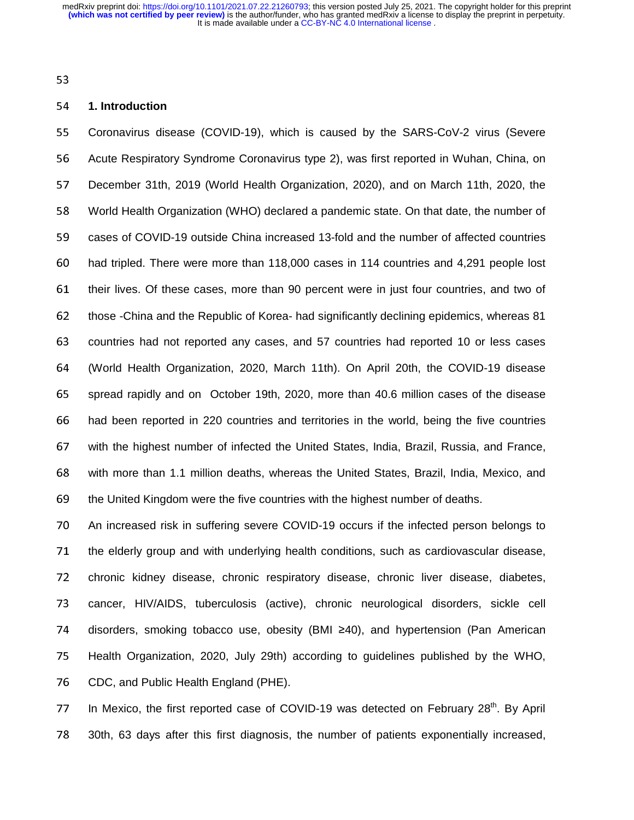# <sup>54</sup>**1. Introduction**

55 Coronavirus disease (COVID-19), which is caused by the SARS-CoV-2 virus (Severe 56 Acute Respiratory Syndrome Coronavirus type 2), was first reported in Wuhan, China, on 57 December 31th, 2019 (World Health Organization, 2020), and on March 11th, 2020, the <sup>58</sup>World Health Organization (WHO) declared a pandemic state. On that date, the number of 59 cases of COVID-19 outside China increased 13-fold and the number of affected countries 60 had tripled. There were more than 118,000 cases in 114 countries and 4,291 people lost 61 their lives. Of these cases, more than 90 percent were in just four countries, and two of 62 those -China and the Republic of Korea- had significantly declining epidemics, whereas 81 63 countries had not reported any cases, and 57 countries had reported 10 or less cases <sup>64</sup>(World Health Organization, 2020, March 11th). On April 20th, the COVID-19 disease 65 spread rapidly and on October 19th, 2020, more than 40.6 million cases of the disease 66 had been reported in 220 countries and territories in the world, being the five countries 67 with the highest number of infected the United States, India, Brazil, Russia, and France, 68 with more than 1.1 million deaths, whereas the United States, Brazil, India, Mexico, and 69 the United Kingdom were the five countries with the highest number of deaths.

<sup>70</sup>An increased risk in suffering severe COVID-19 occurs if the infected person belongs to 71 the elderly group and with underlying health conditions, such as cardiovascular disease, 72 chronic kidney disease, chronic respiratory disease, chronic liver disease, diabetes, 73 cancer, HIV/AIDS, tuberculosis (active), chronic neurological disorders, sickle cell 74 disorders, smoking tobacco use, obesity (BMI ≥40), and hypertension (Pan American 75 Health Organization, 2020, July 29th) according to guidelines published by the WHO, 76 CDC, and Public Health England (PHE).

77 In Mexico, the first reported case of COVID-19 was detected on February  $28<sup>th</sup>$ . By April 78 30th, 63 days after this first diagnosis, the number of patients exponentially increased,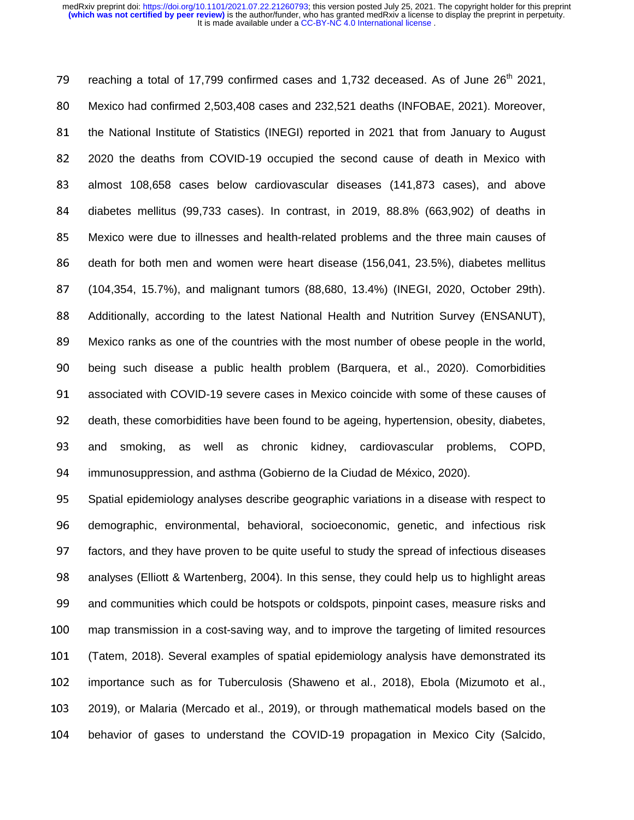79 reaching a total of 17,799 confirmed cases and 1,732 deceased. As of June  $26<sup>th</sup>$  2021, <sup>80</sup>Mexico had confirmed 2,503,408 cases and 232,521 deaths (INFOBAE, 2021). Moreover, 81 the National Institute of Statistics (INEGI) reported in 2021 that from January to August <sup>82</sup>2020 the deaths from COVID-19 occupied the second cause of death in Mexico with 83 almost 108,658 cases below cardiovascular diseases (141,873 cases), and above 84 diabetes mellitus (99,733 cases). In contrast, in 2019, 88.8% (663,902) of deaths in <sup>85</sup>Mexico were due to illnesses and health-related problems and the three main causes of 86 death for both men and women were heart disease (156,041, 23.5%), diabetes mellitus <sup>87</sup>(104,354, 15.7%), and malignant tumors (88,680, 13.4%) (INEGI, 2020, October 29th). 88 Additionally, according to the latest National Health and Nutrition Survey (ENSANUT), 89 Mexico ranks as one of the countries with the most number of obese people in the world, 90 being such disease a public health problem (Barquera, et al., 2020). Comorbidities 91 associated with COVID-19 severe cases in Mexico coincide with some of these causes of 92 death, these comorbidities have been found to be ageing, hypertension, obesity, diabetes, 93 and smoking, as well as chronic kidney, cardiovascular problems, COPD, 94 immunosuppression, and asthma (Gobierno de la Ciudad de México, 2020).

95 Spatial epidemiology analyses describe geographic variations in a disease with respect to 96 demographic, environmental, behavioral, socioeconomic, genetic, and infectious risk 97 factors, and they have proven to be quite useful to study the spread of infectious diseases 98 analyses (Elliott & Wartenberg, 2004). In this sense, they could help us to highlight areas 99 and communities which could be hotspots or coldspots, pinpoint cases, measure risks and <sup>100</sup>map transmission in a cost-saving way, and to improve the targeting of limited resources <sup>101</sup>(Tatem, 2018). Several examples of spatial epidemiology analysis have demonstrated its 102 importance such as for Tuberculosis (Shaweno et al., 2018), Ebola (Mizumoto et al., <sup>103</sup>2019), or Malaria (Mercado et al., 2019), or through mathematical models based on the 104 behavior of gases to understand the COVID-19 propagation in Mexico City (Salcido,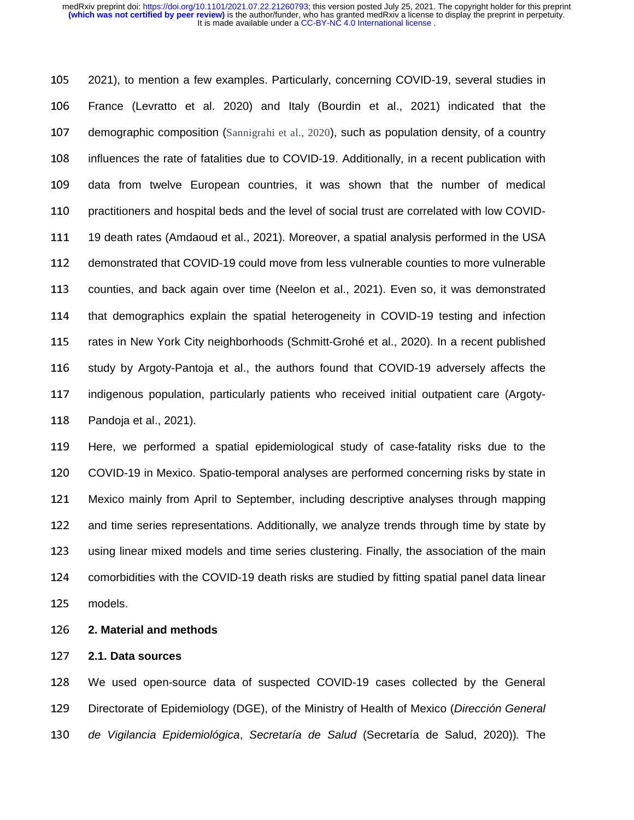105 2021), to mention a few examples. Particularly, concerning COVID-19, several studies in <sup>106</sup>France (Levratto et al. 2020) and Italy (Bourdin et al., 2021) indicated that the 107 demographic composition (Sannigrahi et al., 2020), such as population density, of a country 108 influences the rate of fatalities due to COVID-19. Additionally, in a recent publication with 109 data from twelve European countries, it was shown that the number of medical 110 practitioners and hospital beds and the level of social trust are correlated with low COVID-111 19 death rates (Amdaoud et al., 2021). Moreover, a spatial analysis performed in the USA 112 demonstrated that COVID-19 could move from less vulnerable counties to more vulnerable 113 counties, and back again over time (Neelon et al., 2021). Even so, it was demonstrated 114 that demographics explain the spatial heterogeneity in COVID-19 testing and infection 115 rates in New York City neighborhoods (Schmitt-Grohé et al., 2020). In a recent published 116 study by Argoty-Pantoja et al., the authors found that COVID-19 adversely affects the 117 indigenous population, particularly patients who received initial outpatient care (Argoty-118 Pandoja et al., 2021).

119 Here, we performed a spatial epidemiological study of case-fatality risks due to the 120 COVID-19 in Mexico. Spatio-temporal analyses are performed concerning risks by state in 121 Mexico mainly from April to September, including descriptive analyses through mapping 122 and time series representations. Additionally, we analyze trends through time by state by 123 using linear mixed models and time series clustering. Finally, the association of the main 124 comorbidities with the COVID-19 death risks are studied by fitting spatial panel data linear 125 models.

<sup>126</sup>**2. Material and methods** 

# <sup>127</sup>**2.1. Data sources**

<sup>128</sup>We used open-source data of suspected COVID-19 cases collected by the General 129 Directorate of Epidemiology (DGE), of the Ministry of Health of Mexico (*Dirección General* <sup>130</sup>*de Vigilancia Epidemiológica*, *Secretaría de Salud* (Secretaría de Salud, 2020))*.* The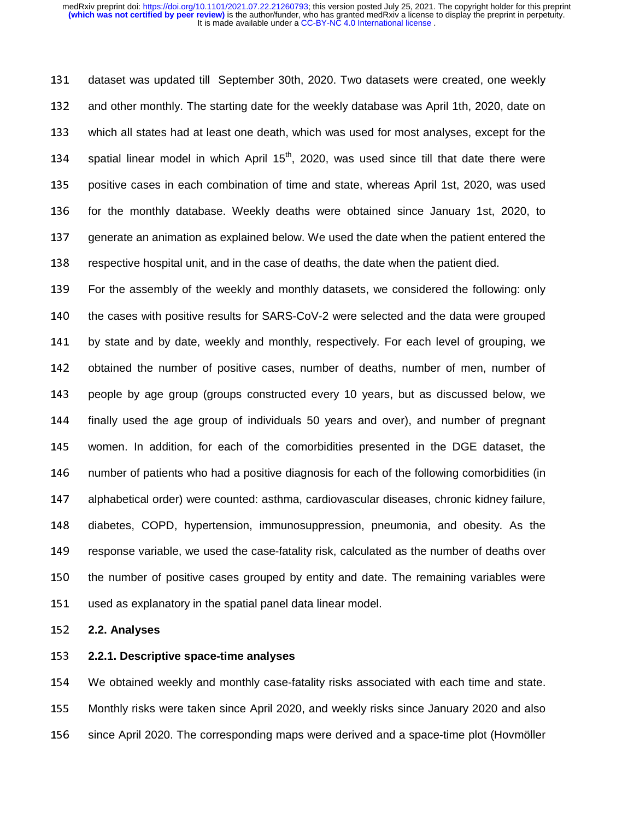131 dataset was updated till September 30th, 2020. Two datasets were created, one weekly 132 and other monthly. The starting date for the weekly database was April 1th, 2020, date on 133 which all states had at least one death, which was used for most analyses, except for the 134 spatial linear model in which April  $15<sup>th</sup>$ , 2020, was used since till that date there were 135 positive cases in each combination of time and state, whereas April 1st, 2020, was used 136 for the monthly database. Weekly deaths were obtained since January 1st, 2020, to 137 generate an animation as explained below. We used the date when the patient entered the 138 respective hospital unit, and in the case of deaths, the date when the patient died.

139 For the assembly of the weekly and monthly datasets, we considered the following: only 140 the cases with positive results for SARS-CoV-2 were selected and the data were grouped 141 by state and by date, weekly and monthly, respectively. For each level of grouping, we 142 obtained the number of positive cases, number of deaths, number of men, number of 143 people by age group (groups constructed every 10 years, but as discussed below, we 144 finally used the age group of individuals 50 years and over), and number of pregnant 145 women. In addition, for each of the comorbidities presented in the DGE dataset, the 146 number of patients who had a positive diagnosis for each of the following comorbidities (in 147 alphabetical order) were counted: asthma, cardiovascular diseases, chronic kidney failure, 148 diabetes, COPD, hypertension, immunosuppression, pneumonia, and obesity. As the 149 response variable, we used the case-fatality risk, calculated as the number of deaths over 150 the number of positive cases grouped by entity and date. The remaining variables were 151 used as explanatory in the spatial panel data linear model.

#### <sup>152</sup>**2.2. Analyses**

<sup>153</sup>**2.2.1. Descriptive space-time analyses**

<sup>154</sup>We obtained weekly and monthly case-fatality risks associated with each time and state. 155 Monthly risks were taken since April 2020, and weekly risks since January 2020 and also 156 since April 2020. The corresponding maps were derived and a space-time plot (Hovmöller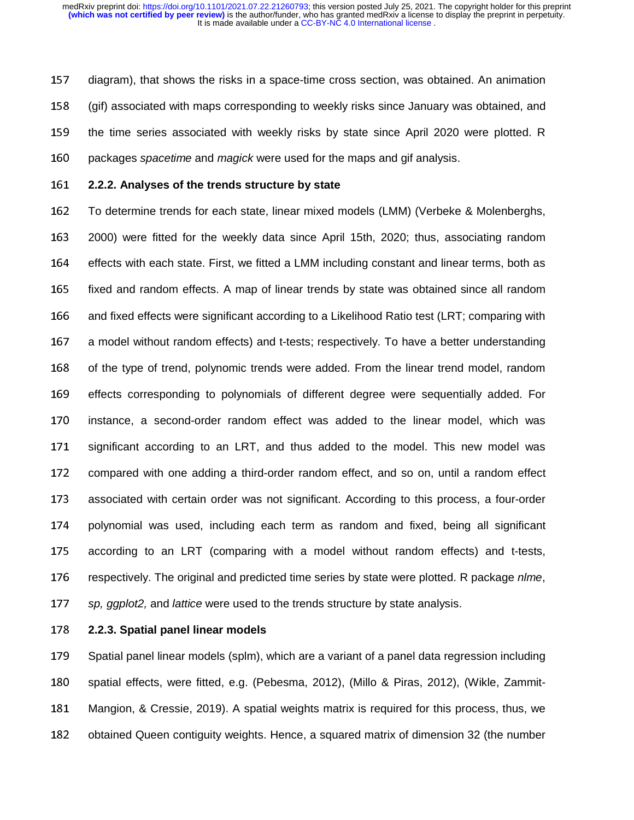157 diagram), that shows the risks in a space-time cross section, was obtained. An animation <sup>158</sup>(gif) associated with maps corresponding to weekly risks since January was obtained, and 159 the time series associated with weekly risks by state since April 2020 were plotted. R 160 packages *spacetime* and *magick* were used for the maps and gif analysis.

<sup>161</sup>**2.2.2. Analyses of the trends structure by state**

162 To determine trends for each state, linear mixed models (LMM) (Verbeke & Molenberghs, 163 2000) were fitted for the weekly data since April 15th, 2020; thus, associating random 164 effects with each state. First, we fitted a LMM including constant and linear terms, both as 165 fixed and random effects. A map of linear trends by state was obtained since all random 166 and fixed effects were significant according to a Likelihood Ratio test (LRT; comparing with 167 a model without random effects) and t-tests; respectively. To have a better understanding 168 of the type of trend, polynomic trends were added. From the linear trend model, random 169 effects corresponding to polynomials of different degree were sequentially added. For 170 instance, a second-order random effect was added to the linear model, which was 171 significant according to an LRT, and thus added to the model. This new model was 172 compared with one adding a third-order random effect, and so on, until a random effect 173 associated with certain order was not significant. According to this process, a four-order 174 polynomial was used, including each term as random and fixed, being all significant 175 according to an LRT (comparing with a model without random effects) and t-tests, <sup>176</sup>respectively. The original and predicted time series by state were plotted. R package *nlme*, <sup>177</sup>*sp, ggplot2,* and *lattice* were used to the trends structure by state analysis.

<sup>178</sup>**2.2.3. Spatial panel linear models**

179 Spatial panel linear models (splm), which are a variant of a panel data regression including 180 spatial effects, were fitted, e.g. (Pebesma, 2012), (Millo & Piras, 2012), (Wikle, Zammit-181 Mangion, & Cressie, 2019). A spatial weights matrix is required for this process, thus, we 182 obtained Queen contiguity weights. Hence, a squared matrix of dimension 32 (the number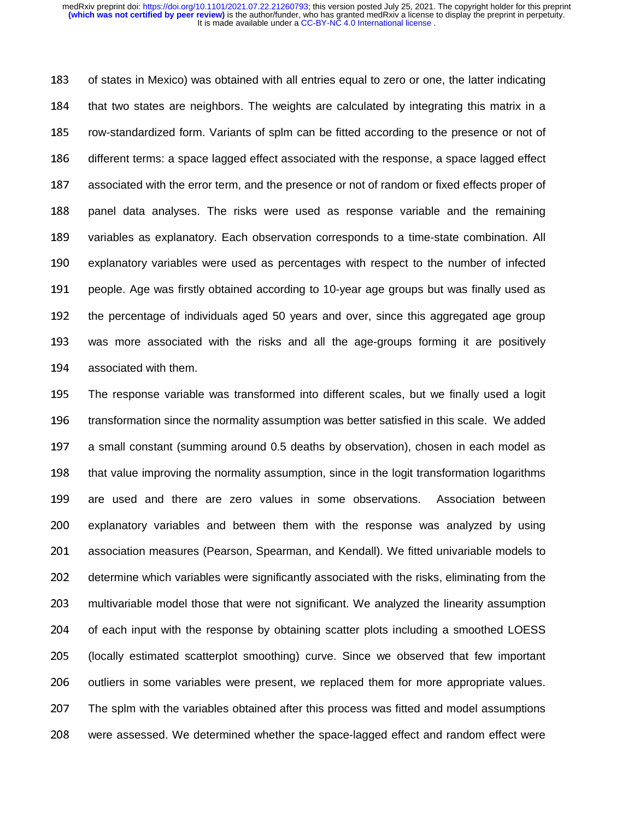183 of states in Mexico) was obtained with all entries equal to zero or one, the latter indicating 184 that two states are neighbors. The weights are calculated by integrating this matrix in a 185 row-standardized form. Variants of splm can be fitted according to the presence or not of 186 different terms: a space lagged effect associated with the response, a space lagged effect 187 associated with the error term, and the presence or not of random or fixed effects proper of 188 panel data analyses. The risks were used as response variable and the remaining 189 variables as explanatory. Each observation corresponds to a time-state combination. All 190 explanatory variables were used as percentages with respect to the number of infected 191 people. Age was firstly obtained according to 10-year age groups but was finally used as 192 the percentage of individuals aged 50 years and over, since this aggregated age group 193 was more associated with the risks and all the age-groups forming it are positively 194 associated with them.

195 The response variable was transformed into different scales, but we finally used a logit 196 transformation since the normality assumption was better satisfied in this scale. We added 197 a small constant (summing around 0.5 deaths by observation), chosen in each model as 198 that value improving the normality assumption, since in the logit transformation logarithms 199 are used and there are zero values in some observations. Association between 200 explanatory variables and between them with the response was analyzed by using 201 association measures (Pearson, Spearman, and Kendall). We fitted univariable models to 202 determine which variables were significantly associated with the risks, eliminating from the 203 multivariable model those that were not significant. We analyzed the linearity assumption 204 of each input with the response by obtaining scatter plots including a smoothed LOESS <sup>205</sup>(locally estimated scatterplot smoothing) curve. Since we observed that few important 206 outliers in some variables were present, we replaced them for more appropriate values. 207 The splm with the variables obtained after this process was fitted and model assumptions 208 were assessed. We determined whether the space-lagged effect and random effect were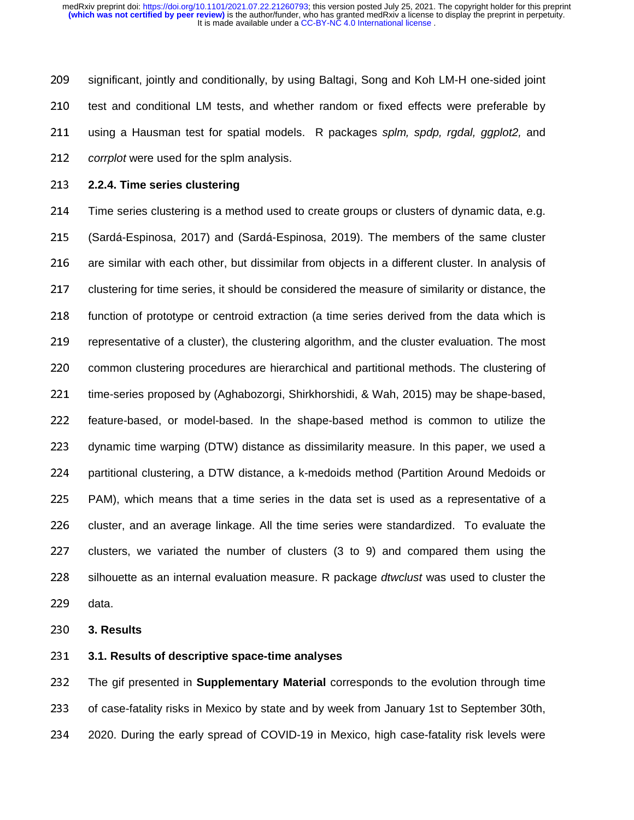209 significant, jointly and conditionally, by using Baltagi, Song and Koh LM-H one-sided joint 210 test and conditional LM tests, and whether random or fixed effects were preferable by 211 using a Hausman test for spatial models. R packages *splm, spdp, rgdal, ggplot*2, and <sup>212</sup>*corrplot* were used for the splm analysis.

<sup>213</sup>**2.2.4. Time series clustering** 

214 Time series clustering is a method used to create groups or clusters of dynamic data, e.g. <sup>215</sup>(Sardá-Espinosa, 2017) and (Sardá-Espinosa, 2019). The members of the same cluster 216 are similar with each other, but dissimilar from objects in a different cluster. In analysis of 217 clustering for time series, it should be considered the measure of similarity or distance, the 218 function of prototype or centroid extraction (a time series derived from the data which is 219 representative of a cluster), the clustering algorithm, and the cluster evaluation. The most 220 common clustering procedures are hierarchical and partitional methods. The clustering of 221 time-series proposed by (Aghabozorgi, Shirkhorshidi, & Wah, 2015) may be shape-based, 222 feature-based, or model-based. In the shape-based method is common to utilize the 223 dynamic time warping (DTW) distance as dissimilarity measure. In this paper, we used a 224 partitional clustering, a DTW distance, a k-medoids method (Partition Around Medoids or 225 PAM), which means that a time series in the data set is used as a representative of a 226 cluster, and an average linkage. All the time series were standardized. To evaluate the 227 clusters, we variated the number of clusters  $(3 \text{ to } 9)$  and compared them using the 228 silhouette as an internal evaluation measure. R package *dtwclust* was used to cluster the 229 data.

<sup>230</sup>**3. Results**

<sup>231</sup>**3.1. Results of descriptive space-time analyses**

<sup>232</sup>The gif presented in **Supplementary Material** corresponds to the evolution through time 233 of case-fatality risks in Mexico by state and by week from January 1st to September 30th, 234 2020. During the early spread of COVID-19 in Mexico, high case-fatality risk levels were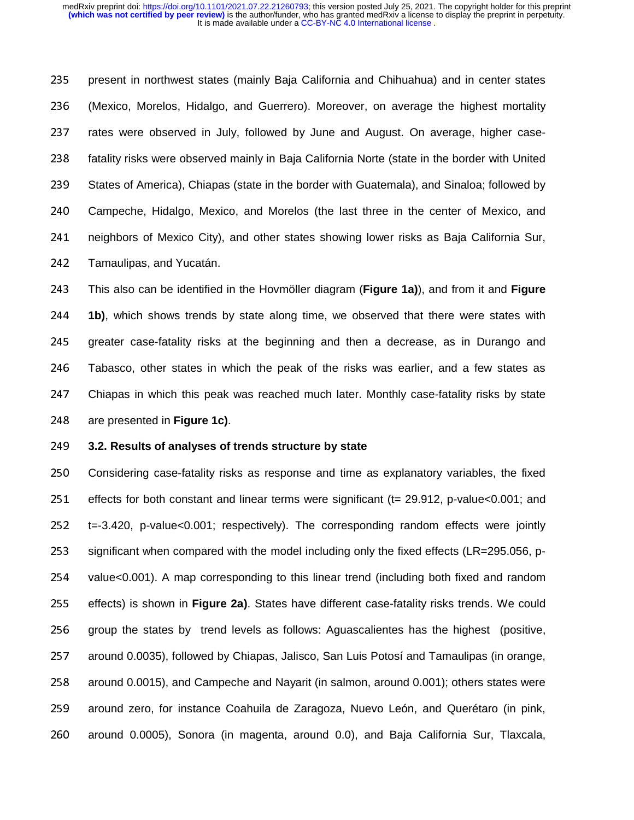235 present in northwest states (mainly Baja California and Chihuahua) and in center states <sup>236</sup>(Mexico, Morelos, Hidalgo, and Guerrero). Moreover, on average the highest mortality 237 rates were observed in July, followed by June and August. On average, higher case-238 fatality risks were observed mainly in Baja California Norte (state in the border with United 239 States of America), Chiapas (state in the border with Guatemala), and Sinaloa; followed by 240 Campeche, Hidalgo, Mexico, and Morelos (the last three in the center of Mexico, and 241 neighbors of Mexico City), and other states showing lower risks as Baja California Sur, 242 Tamaulipas, and Yucatán.

<sup>243</sup>This also can be identified in the Hovmöller diagram (**Figure 1a)**), and from it and **Figure**  <sup>244</sup>**1b)**, which shows trends by state along time, we observed that there were states with 245 greater case-fatality risks at the beginning and then a decrease, as in Durango and 246 Tabasco, other states in which the peak of the risks was earlier, and a few states as 247 Chiapas in which this peak was reached much later. Monthly case-fatality risks by state 248 are presented in **Figure 1c)**.

## <sup>249</sup>**3.2. Results of analyses of trends structure by state**

250 Considering case-fatality risks as response and time as explanatory variables, the fixed 251 effects for both constant and linear terms were significant (t= 29.912, p-value<0.001; and 252 t=-3.420, p-value<0.001; respectively). The corresponding random effects were jointly 253 significant when compared with the model including only the fixed effects (LR=295.056, p-254 value<0.001). A map corresponding to this linear trend (including both fixed and random 255 effects) is shown in Figure 2a). States have different case-fatality risks trends. We could 256 group the states by trend levels as follows: Aguascalientes has the highest (positive, 257 around 0.0035), followed by Chiapas, Jalisco, San Luis Potosí and Tamaulipas (in orange, 258 around 0.0015), and Campeche and Nayarit (in salmon, around 0.001); others states were 259 around zero, for instance Coahuila de Zaragoza, Nuevo León, and Querétaro (in pink, 260 around 0.0005), Sonora (in magenta, around 0.0), and Baja California Sur, Tlaxcala,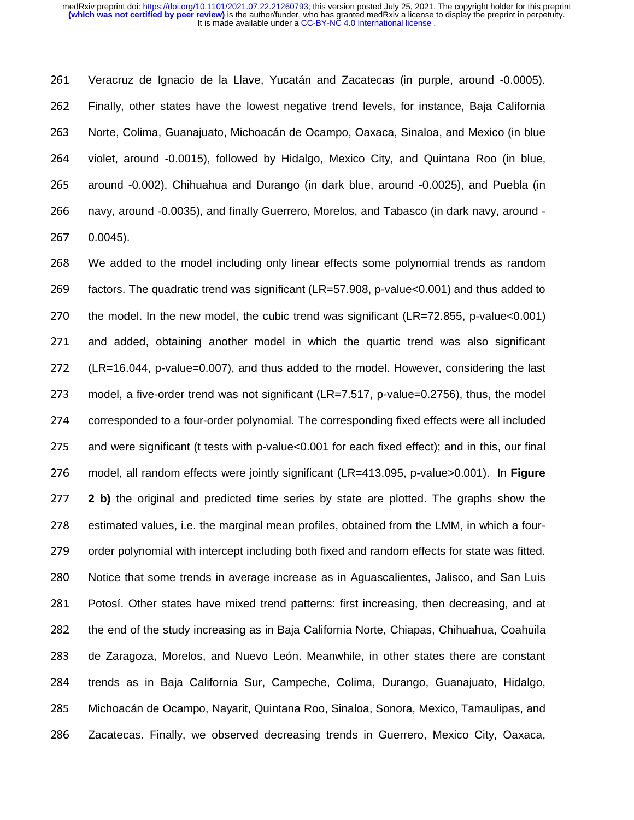261 Veracruz de Ignacio de la Llave, Yucatán and Zacatecas (in purple, around -0.0005). 262 Finally, other states have the lowest negative trend levels, for instance, Baja California 263 Norte, Colima, Guanajuato, Michoacán de Ocampo, Oaxaca, Sinaloa, and Mexico (in blue 264 violet, around -0.0015), followed by Hidalgo, Mexico City, and Quintana Roo (in blue, 265 around -0.002), Chihuahua and Durango (in dark blue, around -0.0025), and Puebla (in 266 navy, around -0.0035), and finally Guerrero, Morelos, and Tabasco (in dark navy, around -<sup>267</sup>0.0045).

<sup>268</sup>We added to the model including only linear effects some polynomial trends as random 269 factors. The quadratic trend was significant (LR=57.908, p-value $<$ 0.001) and thus added to 270 the model. In the new model, the cubic trend was significant (LR=72.855, p-value $<0.001$ ) 271 and added, obtaining another model in which the quartic trend was also significant 272 (LR=16.044, p-value=0.007), and thus added to the model. However, considering the last 273 model, a five-order trend was not significant (LR=7.517, p-value=0.2756), thus, the model 274 corresponded to a four-order polynomial. The corresponding fixed effects were all included 275 and were significant (t tests with p-value<0.001 for each fixed effect); and in this, our final <sup>276</sup>model, all random effects were jointly significant (LR=413.095, p-value>0.001). In **Figure**  <sup>277</sup>**2 b)** the original and predicted time series by state are plotted. The graphs show the 278 estimated values, i.e. the marginal mean profiles, obtained from the LMM, in which a four-279 order polynomial with intercept including both fixed and random effects for state was fitted. 280 Notice that some trends in average increase as in Aguascalientes, Jalisco, and San Luis 281 Potosí. Other states have mixed trend patterns: first increasing, then decreasing, and at 282 the end of the study increasing as in Baja California Norte, Chiapas, Chihuahua, Coahuila 283 de Zaragoza, Morelos, and Nuevo León. Meanwhile, in other states there are constant 284 trends as in Baja California Sur, Campeche, Colima, Durango, Guanajuato, Hidalgo, 285 Michoacán de Ocampo, Nayarit, Quintana Roo, Sinaloa, Sonora, Mexico, Tamaulipas, and 286 Zacatecas. Finally, we observed decreasing trends in Guerrero, Mexico City, Oaxaca,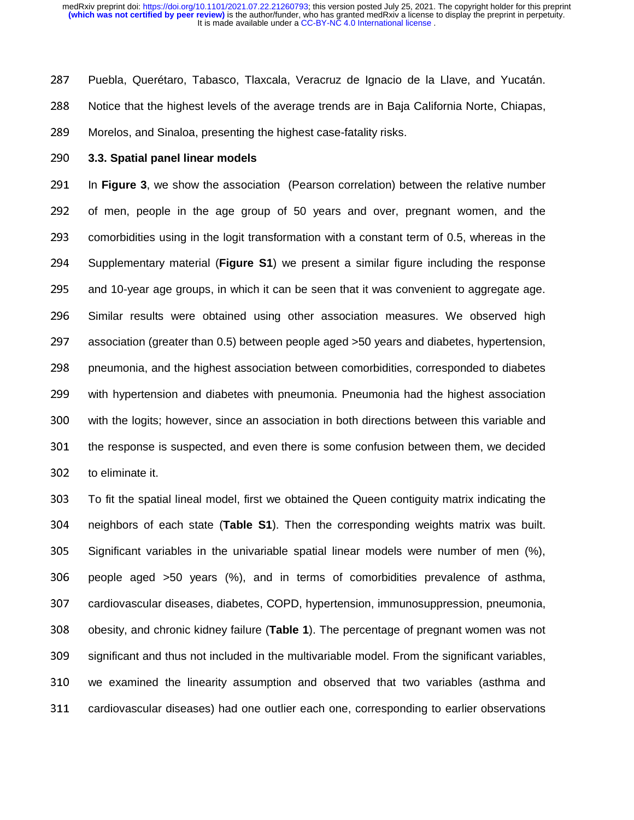287 Puebla, Querétaro, Tabasco, Tlaxcala, Veracruz de Ignacio de la Llave, and Yucatán. 288 Notice that the highest levels of the average trends are in Baja California Norte, Chiapas, 289 Morelos, and Sinaloa, presenting the highest case-fatality risks.

<sup>290</sup>**3.3. Spatial panel linear models**

291 In **Figure 3**, we show the association (Pearson correlation) between the relative number 292 of men, people in the age group of 50 years and over, pregnant women, and the 293 comorbidities using in the logit transformation with a constant term of 0.5, whereas in the 294 Supplementary material (**Figure S1**) we present a similar figure including the response 295 and 10-year age groups, in which it can be seen that it was convenient to aggregate age. 296 Similar results were obtained using other association measures. We observed high 297 association (greater than 0.5) between people aged >50 years and diabetes, hypertension, 298 pneumonia, and the highest association between comorbidities, corresponded to diabetes 299 with hypertension and diabetes with pneumonia. Pneumonia had the highest association 300 with the logits; however, since an association in both directions between this variable and 301 the response is suspected, and even there is some confusion between them, we decided 302 to eliminate it.

<sup>303</sup>To fit the spatial lineal model, first we obtained the Queen contiguity matrix indicating the <sup>304</sup>neighbors of each state (**Table S1**). Then the corresponding weights matrix was built. 305 Significant variables in the univariable spatial linear models were number of men (%),  $306$  people aged  $>50$  years (%), and in terms of comorbidities prevalence of asthma, 307 cardiovascular diseases, diabetes, COPD, hypertension, immunosuppression, pneumonia, 308 obesity, and chronic kidney failure (Table 1). The percentage of pregnant women was not 309 significant and thus not included in the multivariable model. From the significant variables, 310 we examined the linearity assumption and observed that two variables (asthma and 311 cardiovascular diseases) had one outlier each one, corresponding to earlier observations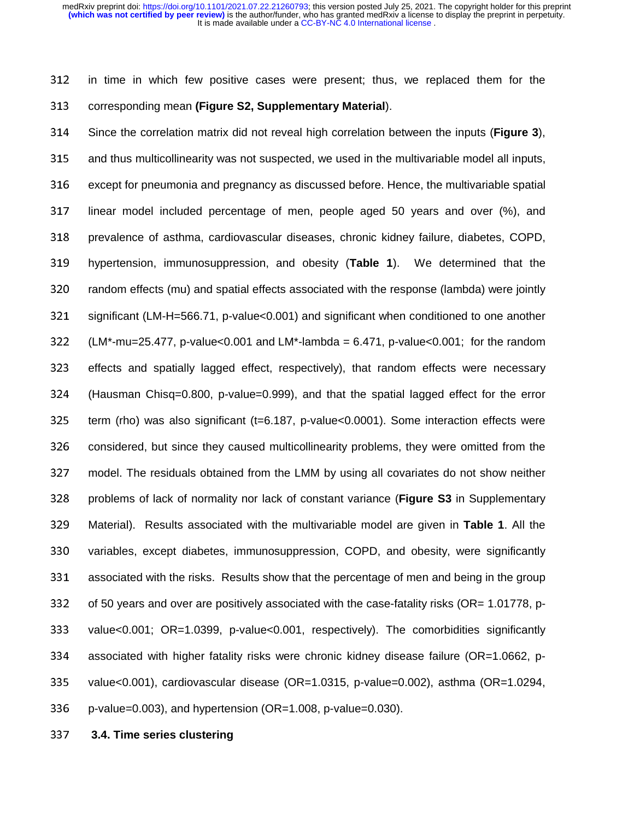312 in time in which few positive cases were present; thus, we replaced them for the <sup>313</sup>corresponding mean **(Figure S2, Supplementary Material**).

<sup>314</sup>Since the correlation matrix did not reveal high correlation between the inputs (**Figure 3**), 315 and thus multicollinearity was not suspected, we used in the multivariable model all inputs, 316 except for pneumonia and pregnancy as discussed before. Hence, the multivariable spatial 317 linear model included percentage of men, people aged 50 years and over (%), and 318 prevalence of asthma, cardiovascular diseases, chronic kidney failure, diabetes, COPD, <sup>319</sup>hypertension, immunosuppression, and obesity (**Table 1**). We determined that the 320 random effects (mu) and spatial effects associated with the response (lambda) were jointly 321 significant (LM-H=566.71, p-value<0.001) and significant when conditioned to one another 322 (LM\*-mu=25.477, p-value<0.001 and LM\*-lambda = 6.471, p-value<0.001; for the random 323 effects and spatially lagged effect, respectively), that random effects were necessary <sup>324</sup>(Hausman Chisq=0.800, p-value=0.999), and that the spatial lagged effect for the error 325 term (rho) was also significant (t=6.187, p-value<0.0001). Some interaction effects were 326 considered, but since they caused multicollinearity problems, they were omitted from the <sup>327</sup>model. The residuals obtained from the LMM by using all covariates do not show neither 328 problems of lack of normality nor lack of constant variance (**Figure S3** in Supplementary <sup>329</sup>Material). Results associated with the multivariable model are given in **Table 1**. All the 330 variables, except diabetes, immunosuppression, COPD, and obesity, were significantly 331 associated with the risks. Results show that the percentage of men and being in the group 332 of 50 years and over are positively associated with the case-fatality risks (OR= 1.01778, p-333 value<0.001; OR=1.0399, p-value<0.001, respectively). The comorbidities significantly 334 associated with higher fatality risks were chronic kidney disease failure (OR=1.0662, p-335 value<0.001), cardiovascular disease (OR=1.0315, p-value=0.002), asthma (OR=1.0294, 336 p-value=0.003), and hypertension (OR=1.008, p-value=0.030).

<sup>337</sup>**3.4. Time series clustering**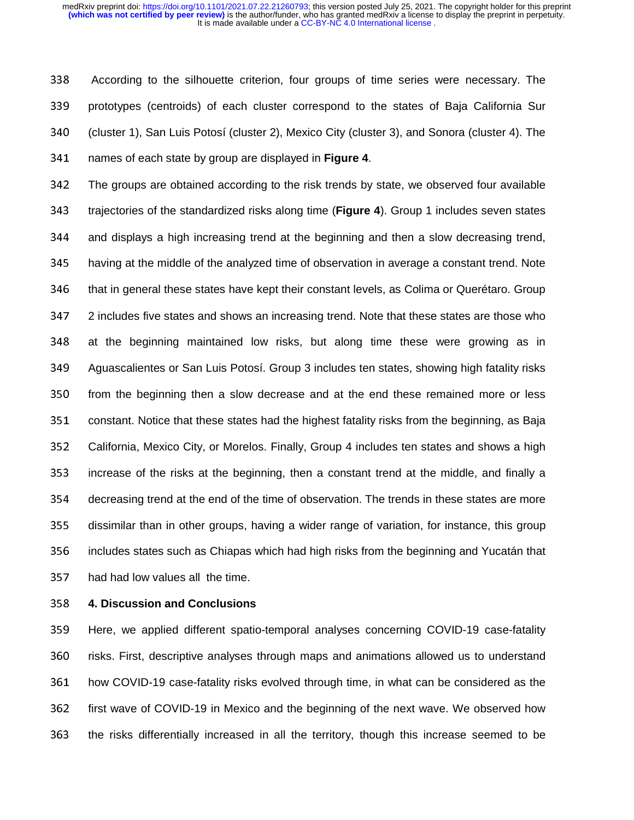338 According to the silhouette criterion, four groups of time series were necessary. The 339 prototypes (centroids) of each cluster correspond to the states of Baja California Sur 340 (cluster 1), San Luis Potosí (cluster 2), Mexico City (cluster 3), and Sonora (cluster 4). The <sup>341</sup>names of each state by group are displayed in **Figure 4**.

342 The groups are obtained according to the risk trends by state, we observed four available 343 trajectories of the standardized risks along time (Figure 4). Group 1 includes seven states 344 and displays a high increasing trend at the beginning and then a slow decreasing trend, 345 having at the middle of the analyzed time of observation in average a constant trend. Note 346 that in general these states have kept their constant levels, as Colima or Querétaro. Group 347 2 includes five states and shows an increasing trend. Note that these states are those who 348 at the beginning maintained low risks, but along time these were growing as in 349 Aguascalientes or San Luis Potosí. Group 3 includes ten states, showing high fatality risks 350 from the beginning then a slow decrease and at the end these remained more or less 351 constant. Notice that these states had the highest fatality risks from the beginning, as Baja 352 California, Mexico City, or Morelos. Finally, Group 4 includes ten states and shows a high 353 increase of the risks at the beginning, then a constant trend at the middle, and finally a 354 decreasing trend at the end of the time of observation. The trends in these states are more 355 dissimilar than in other groups, having a wider range of variation, for instance, this group 356 includes states such as Chiapas which had high risks from the beginning and Yucatán that 357 had had low values all the time.

# <sup>358</sup>**4. Discussion and Conclusions**

359 Here, we applied different spatio-temporal analyses concerning COVID-19 case-fatality 360 risks. First, descriptive analyses through maps and animations allowed us to understand 361 how COVID-19 case-fatality risks evolved through time, in what can be considered as the 362 first wave of COVID-19 in Mexico and the beginning of the next wave. We observed how 363 the risks differentially increased in all the territory, though this increase seemed to be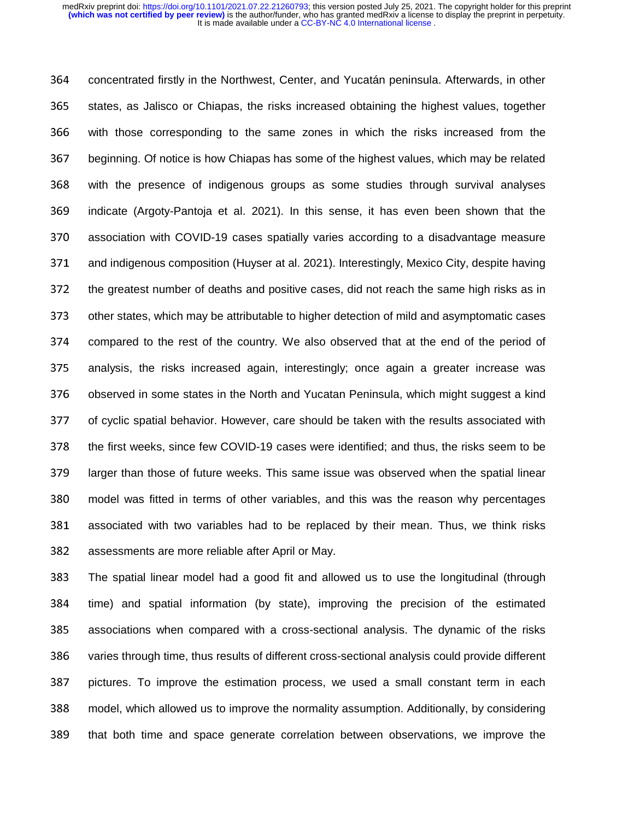364 concentrated firstly in the Northwest, Center, and Yucatán peninsula. Afterwards, in other 365 states, as Jalisco or Chiapas, the risks increased obtaining the highest values, together 366 with those corresponding to the same zones in which the risks increased from the 367 beginning. Of notice is how Chiapas has some of the highest values, which may be related 368 with the presence of indigenous groups as some studies through survival analyses 369 indicate (Argoty-Pantoja et al. 2021). In this sense, it has even been shown that the 370 association with COVID-19 cases spatially varies according to a disadvantage measure 371 and indigenous composition (Huyser at al. 2021). Interestingly, Mexico City, despite having 372 the greatest number of deaths and positive cases, did not reach the same high risks as in 373 other states, which may be attributable to higher detection of mild and asymptomatic cases 374 compared to the rest of the country. We also observed that at the end of the period of 375 analysis, the risks increased again, interestingly; once again a greater increase was 376 observed in some states in the North and Yucatan Peninsula, which might suggest a kind 377 of cyclic spatial behavior. However, care should be taken with the results associated with 378 the first weeks, since few COVID-19 cases were identified; and thus, the risks seem to be 379 larger than those of future weeks. This same issue was observed when the spatial linear 380 model was fitted in terms of other variables, and this was the reason why percentages 381 associated with two variables had to be replaced by their mean. Thus, we think risks 382 assessments are more reliable after April or May.

<sup>383</sup>The spatial linear model had a good fit and allowed us to use the longitudinal (through 384 time) and spatial information (by state), improving the precision of the estimated 385 associations when compared with a cross-sectional analysis. The dynamic of the risks 386 varies through time, thus results of different cross-sectional analysis could provide different 387 pictures. To improve the estimation process, we used a small constant term in each 388 model, which allowed us to improve the normality assumption. Additionally, by considering 389 that both time and space generate correlation between observations, we improve the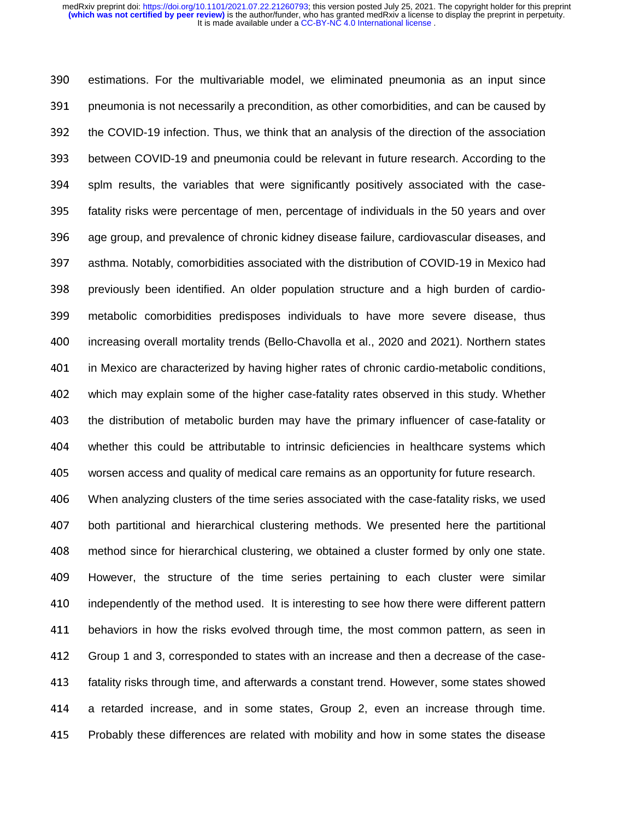390 estimations. For the multivariable model, we eliminated pneumonia as an input since 391 pneumonia is not necessarily a precondition, as other comorbidities, and can be caused by 392 the COVID-19 infection. Thus, we think that an analysis of the direction of the association 393 between COVID-19 and pneumonia could be relevant in future research. According to the 394 splm results, the variables that were significantly positively associated with the case-395 fatality risks were percentage of men, percentage of individuals in the 50 years and over 396 age group, and prevalence of chronic kidney disease failure, cardiovascular diseases, and 397 asthma. Notably, comorbidities associated with the distribution of COVID-19 in Mexico had 398 previously been identified. An older population structure and a high burden of cardio-<sup>399</sup>metabolic comorbidities predisposes individuals to have more severe disease, thus 400 increasing overall mortality trends (Bello-Chavolla et al., 2020 and 2021). Northern states 401 in Mexico are characterized by having higher rates of chronic cardio-metabolic conditions, 402 which may explain some of the higher case-fatality rates observed in this study. Whether 403 the distribution of metabolic burden may have the primary influencer of case-fatality or <sup>404</sup>whether this could be attributable to intrinsic deficiencies in healthcare systems which 405 worsen access and quality of medical care remains as an opportunity for future research.

406 When analyzing clusters of the time series associated with the case-fatality risks, we used 407 both partitional and hierarchical clustering methods. We presented here the partitional <sup>408</sup>method since for hierarchical clustering, we obtained a cluster formed by only one state. 409 However, the structure of the time series pertaining to each cluster were similar 410 independently of the method used. It is interesting to see how there were different pattern 411 behaviors in how the risks evolved through time, the most common pattern, as seen in 412 Group 1 and 3, corresponded to states with an increase and then a decrease of the case-413 fatality risks through time, and afterwards a constant trend. However, some states showed 414 a retarded increase, and in some states, Group 2, even an increase through time. 415 Probably these differences are related with mobility and how in some states the disease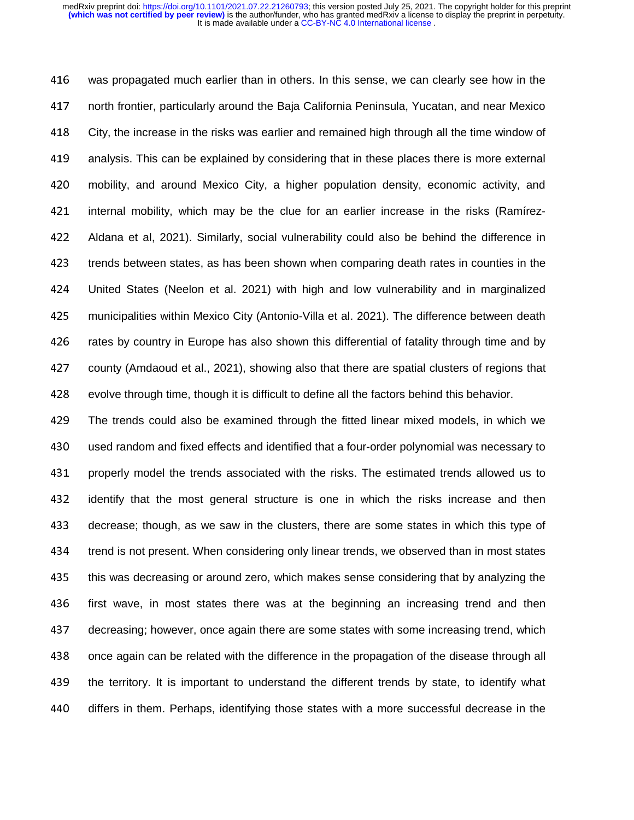416 was propagated much earlier than in others. In this sense, we can clearly see how in the 417 north frontier, particularly around the Baja California Peninsula, Yucatan, and near Mexico 418 City, the increase in the risks was earlier and remained high through all the time window of 419 analysis. This can be explained by considering that in these places there is more external 420 mobility, and around Mexico City, a higher population density, economic activity, and 421 internal mobility, which may be the clue for an earlier increase in the risks (Ramírez-<sup>422</sup>Aldana et al, 2021). Similarly, social vulnerability could also be behind the difference in 423 trends between states, as has been shown when comparing death rates in counties in the <sup>424</sup>United States (Neelon et al. 2021) with high and low vulnerability and in marginalized 425 municipalities within Mexico City (Antonio-Villa et al. 2021). The difference between death 426 rates by country in Europe has also shown this differential of fatality through time and by 427 county (Amdaoud et al., 2021), showing also that there are spatial clusters of regions that 428 evolve through time, though it is difficult to define all the factors behind this behavior.

<sup>429</sup>The trends could also be examined through the fitted linear mixed models, in which we 430 used random and fixed effects and identified that a four-order polynomial was necessary to 431 properly model the trends associated with the risks. The estimated trends allowed us to 432 identify that the most general structure is one in which the risks increase and then 433 decrease; though, as we saw in the clusters, there are some states in which this type of 434 trend is not present. When considering only linear trends, we observed than in most states 435 this was decreasing or around zero, which makes sense considering that by analyzing the 436 first wave, in most states there was at the beginning an increasing trend and then 437 decreasing; however, once again there are some states with some increasing trend, which 438 once again can be related with the difference in the propagation of the disease through all 439 the territory. It is important to understand the different trends by state, to identify what 440 differs in them. Perhaps, identifying those states with a more successful decrease in the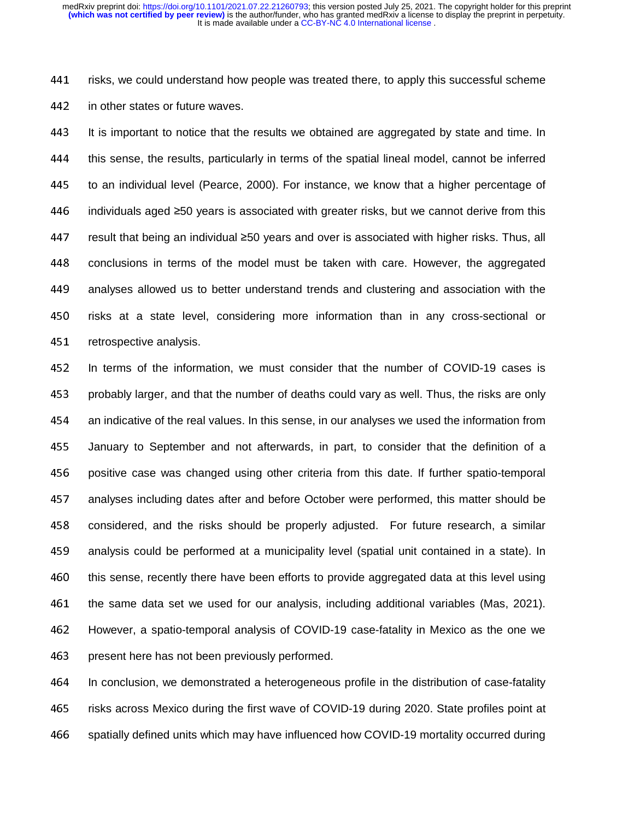441 risks, we could understand how people was treated there, to apply this successful scheme 442 in other states or future waves.

443 It is important to notice that the results we obtained are aggregated by state and time. In 444 this sense, the results, particularly in terms of the spatial lineal model, cannot be inferred 445 to an individual level (Pearce, 2000). For instance, we know that a higher percentage of 446 individuals aged ≥50 years is associated with greater risks, but we cannot derive from this 447 result that being an individual ≥50 years and over is associated with higher risks. Thus, all 448 conclusions in terms of the model must be taken with care. However, the aggregated 449 analyses allowed us to better understand trends and clustering and association with the 450 risks at a state level, considering more information than in any cross-sectional or 451 retrospective analysis.

452 In terms of the information, we must consider that the number of COVID-19 cases is 453 probably larger, and that the number of deaths could vary as well. Thus, the risks are only <sup>454</sup>an indicative of the real values. In this sense, in our analyses we used the information from 455 January to September and not afterwards, in part, to consider that the definition of a 456 positive case was changed using other criteria from this date. If further spatio-temporal 457 analyses including dates after and before October were performed, this matter should be 458 considered, and the risks should be properly adjusted. For future research, a similar 459 analysis could be performed at a municipality level (spatial unit contained in a state). In 460 this sense, recently there have been efforts to provide aggregated data at this level using 461 the same data set we used for our analysis, including additional variables (Mas, 2021). 462 However, a spatio-temporal analysis of COVID-19 case-fatality in Mexico as the one we 463 present here has not been previously performed.

<sup>464</sup>In conclusion, we demonstrated a heterogeneous profile in the distribution of case-fatality 465 risks across Mexico during the first wave of COVID-19 during 2020. State profiles point at 466 spatially defined units which may have influenced how COVID-19 mortality occurred during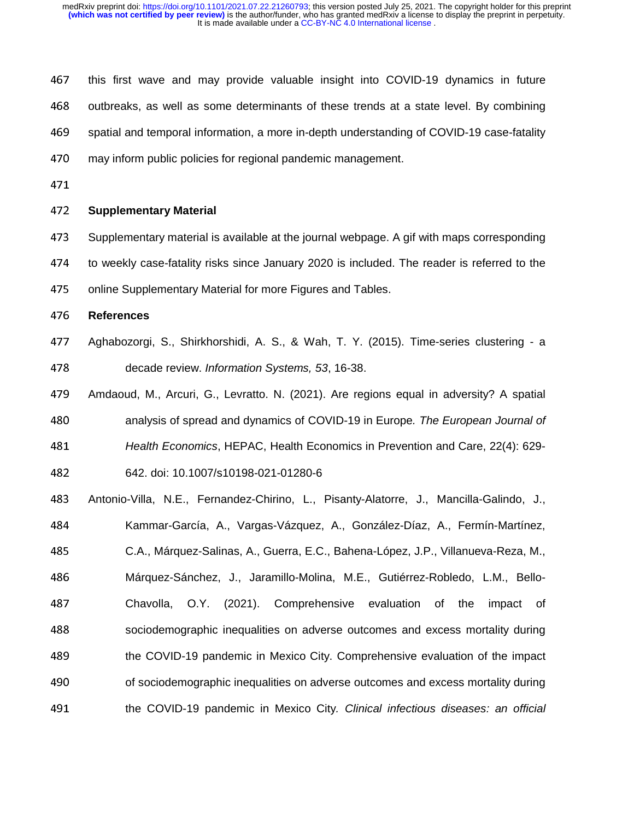467 this first wave and may provide valuable insight into COVID-19 dynamics in future 468 outbreaks, as well as some determinants of these trends at a state level. By combining <sup>469</sup>spatial and temporal information, a more in-depth understanding of COVID-19 case-fatality 470 may inform public policies for regional pandemic management.

# <sup>472</sup>**Supplementary Material**

473 Supplementary material is available at the journal webpage. A gif with maps corresponding 474 to weekly case-fatality risks since January 2020 is included. The reader is referred to the

475 online Supplementary Material for more Figures and Tables.

# <sup>476</sup>**References**

- 477 Aghabozorgi, S., Shirkhorshidi, A. S., & Wah, T. Y. (2015). Time-series clustering a <sup>478</sup>decade review. *Information Systems, 53*, 16-38.
- 479 Amdaoud, M., Arcuri, G., Levratto, N. (2021). Are regions equal in adversity? A spatial <sup>480</sup>analysis of spread and dynamics of COVID-19 in Europe*. The European Journal of*  <sup>481</sup>*Health Economics*, HEPAC, Health Economics in Prevention and Care, 22(4): 629- <sup>482</sup>642. doi: 10.1007/s10198-021-01280-6
- <sup>483</sup>Antonio-Villa, N.E., Fernandez-Chirino, L., Pisanty-Alatorre, J., Mancilla-Galindo, J., <sup>484</sup>Kammar-García, A., Vargas-Vázquez, A., González-Díaz, A., Fermín-Martínez, <sup>485</sup>C.A., Márquez-Salinas, A., Guerra, E.C., Bahena-López, J.P., Villanueva-Reza, M., 486 Márquez-Sánchez, J., Jaramillo-Molina, M.E., Gutiérrez-Robledo, L.M., Bello-487 Chavolla, O.Y. (2021). Comprehensive evaluation of the impact of 488 sociodemographic inequalities on adverse outcomes and excess mortality during 489 the COVID-19 pandemic in Mexico City. Comprehensive evaluation of the impact 490 f sociodemographic inequalities on adverse outcomes and excess mortality during <sup>491</sup>the COVID-19 pandemic in Mexico City*. Clinical infectious diseases: an official*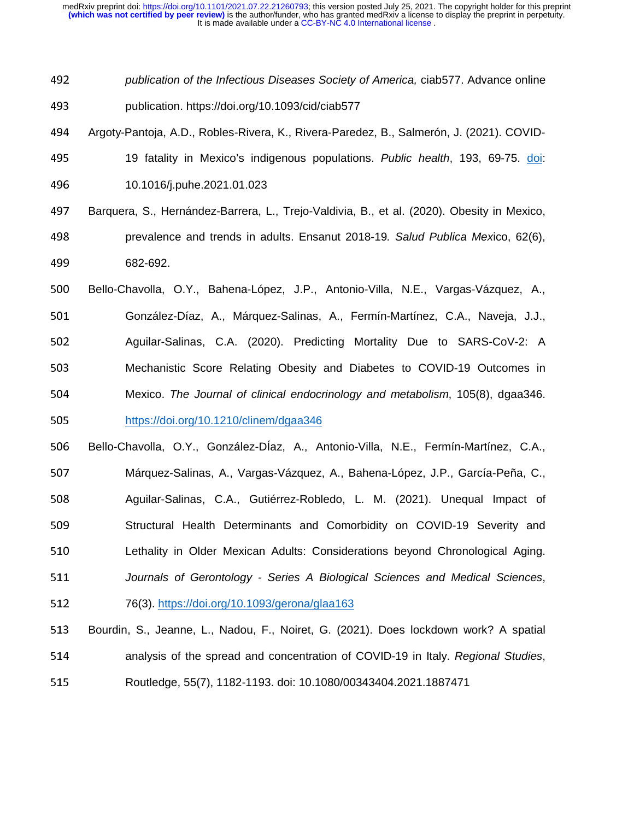<sup>492</sup>*publication of the Infectious Diseases Society of America,* ciab577. Advance online <sup>493</sup>publication. https://doi.org/10.1093/cid/ciab577

- 494 Argoty-Pantoja, A.D., Robles-Rivera, K., Rivera-Paredez, B., Salmerón, J. (2021). COVID-
- <sup>495</sup>19 fatality in Mexico's indigenous populations. *Public health*, 193, 69-75. doi: <sup>496</sup>10.1016/j.puhe.2021.01.023
- 497 Barquera, S., Hernández-Barrera, L., Trejo-Valdivia, B., et al. (2020). Obesity in Mexico, <sup>498</sup>prevalence and trends in adults. Ensanut 2018-19*. Salud Publica Mex*ico, 62(6), <sup>499</sup>682-692.
- 500 Bello-Chavolla, O.Y., Bahena-López, J.P., Antonio-Villa, N.E., Vargas-Vázquez, A., 501 González-Díaz, A., Márquez-Salinas, A., Fermín-Martínez, C.A., Naveja, J.J., 502 Aguilar-Salinas, C.A. (2020). Predicting Mortality Due to SARS-CoV-2: A <sup>503</sup>Mechanistic Score Relating Obesity and Diabetes to COVID-19 Outcomes in <sup>504</sup>Mexico. *The Journal of clinical endocrinology and metabolism*, 105(8), dgaa346. 505 https://doi.org/10.1210/clinem/dgaa346
- 506 Bello-Chavolla, O.Y., González-DÍaz, A., Antonio-Villa, N.E., Fermín-Martínez, C.A., <sup>507</sup>Márquez-Salinas, A., Vargas-Vázquez, A., Bahena-López, J.P., García-Peña, C., 508 Aguilar-Salinas, C.A., Gutiérrez-Robledo, L. M. (2021). Unequal Impact of 509 Structural Health Determinants and Comorbidity on COVID-19 Severity and 510 Lethality in Older Mexican Adults: Considerations beyond Chronological Aging. <sup>511</sup>*Journals of Gerontology - Series A Biological Sciences and Medical Sciences*, 512 76(3). https://doi.org/10.1093/gerona/glaa163
- 513 Bourdin, S., Jeanne, L., Nadou, F., Noiret, G. (2021). Does lockdown work? A spatial <sup>514</sup>analysis of the spread and concentration of COVID-19 in Italy. *Regional Studies*, <sup>515</sup>Routledge, 55(7), 1182-1193. doi: 10.1080/00343404.2021.1887471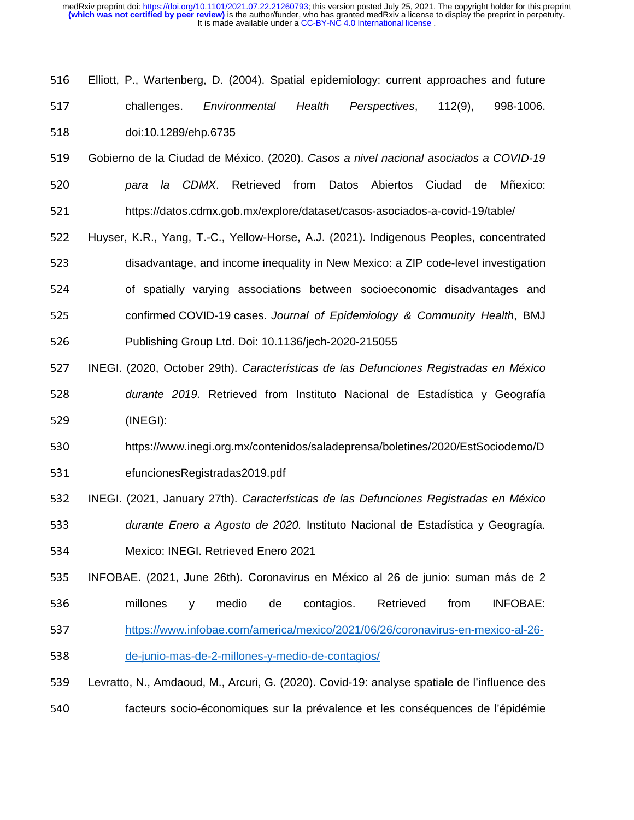- 516 Elliott, P., Wartenberg, D. (2004). Spatial epidemiology: current approaches and future <sup>517</sup>challenges. *Environmental Health Perspectives*, 112(9), 998-1006. 518 doi:10.1289/ehp.6735
- <sup>519</sup>Gobierno de la Ciudad de México. (2020). *Casos a nivel nacional asociados a COVID-19*  <sup>520</sup>*para la CDMX*. Retrieved from Datos Abiertos Ciudad de Mñexico: 521 https://datos.cdmx.gob.mx/explore/dataset/casos-asociados-a-covid-19/table/
- 522 Huyser, K.R., Yang, T.-C., Yellow-Horse, A.J. (2021). Indigenous Peoples, concentrated 523 disadvantage, and income inequality in New Mexico: a ZIP code-level investigation 524 of spatially varying associations between socioeconomic disadvantages and <sup>525</sup>confirmed COVID-19 cases. *Journal of Epidemiology & Community Health*, BMJ
- 526 Publishing Group Ltd. Doi: 10.1136/jech-2020-215055
- <sup>527</sup>INEGI. (2020, October 29th). *Características de las Defunciones Registradas en México*  <sup>528</sup>*durante 2019.* Retrieved from Instituto Nacional de Estadística y Geografía 529 (INEGI):
- 530 https://www.inegi.org.mx/contenidos/saladeprensa/boletines/2020/EstSociodemo/D 531 efuncionesRegistradas2019.pdf
- <sup>532</sup>INEGI. (2021, January 27th). *Características de las Defunciones Registradas en México*  <sup>533</sup>*durante Enero a Agosto de 2020.* Instituto Nacional de Estadística y Geogragía. 534 Mexico: INEGI. Retrieved Enero 2021
- <sup>535</sup>INFOBAE. (2021, June 26th). Coronavirus en México al 26 de junio: suman más de 2 536 millones y medio de contagios. Retrieved from INFOBAE: 537 https://www.infobae.com/america/mexico/2021/06/26/coronavirus-en-mexico-al-26-538 de-junio-mas-de-2-millones-y-medio-de-contagios/
- <sup>539</sup>Levratto, N., Amdaoud, M., Arcuri, G. (2020). Covid-19: analyse spatiale de l'influence des 540 facteurs socio-économiques sur la prévalence et les conséquences de l'épidémie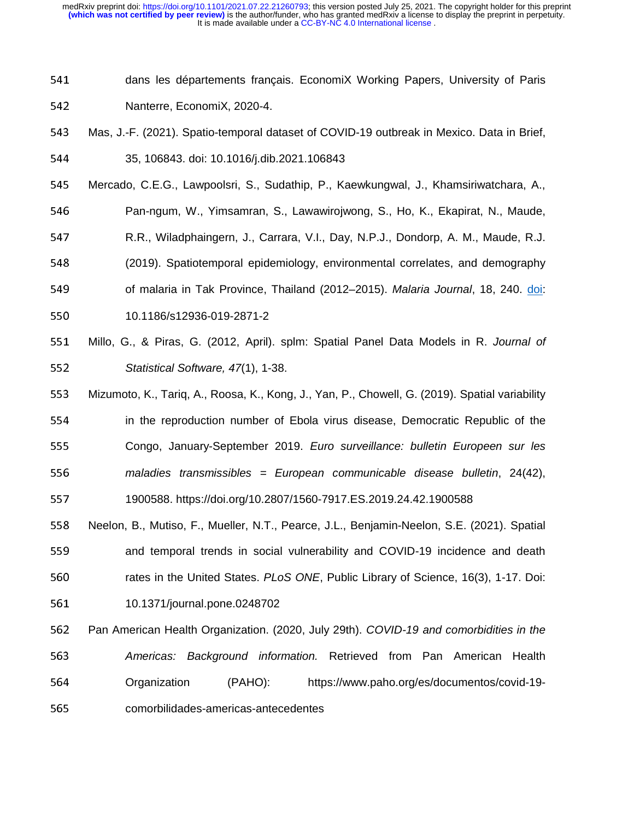- 541 dans les départements français. EconomiX Working Papers, University of Paris 542 **Nanterre, EconomiX, 2020-4.**
- 543 Mas, J.-F. (2021). Spatio-temporal dataset of COVID-19 outbreak in Mexico. Data in Brief,

<sup>544</sup>35, 106843. doi: 10.1016/j.dib.2021.106843

- <sup>545</sup>Mercado, C.E.G., Lawpoolsri, S., Sudathip, P., Kaewkungwal, J., Khamsiriwatchara, A.,
- 546 Pan-ngum, W., Yimsamran, S., Lawawirojwong, S., Ho, K., Ekapirat, N., Maude,
- <sup>547</sup>R.R., Wiladphaingern, J., Carrara, V.I., Day, N.P.J., Dondorp, A. M., Maude, R.J.
- <sup>548</sup>(2019). Spatiotemporal epidemiology, environmental correlates, and demography
- 549 of malaria in Tak Province, Thailand (2012–2015). *Malaria Journal*, 18, 240. doi: <sup>550</sup>10.1186/s12936-019-2871-2
- <sup>551</sup>Millo, G., & Piras, G. (2012, April). splm: Spatial Panel Data Models in R. *Journal of*  <sup>552</sup>*Statistical Software, 47*(1), 1-38.
- 553 Mizumoto, K., Tariq, A., Roosa, K., Kong, J., Yan, P., Chowell, G. (2019). Spatial variability 554 in the reproduction number of Ebola virus disease, Democratic Republic of the 555 Congo, January-September 2019. *Euro surveillance: bulletin Europeen sur les* <sup>556</sup>*maladies transmissibles = European communicable disease bulletin*, 24(42), <sup>557</sup>1900588. https://doi.org/10.2807/1560-7917.ES.2019.24.42.1900588
- 558 Neelon, B., Mutiso, F., Mueller, N.T., Pearce, J.L., Benjamin-Neelon, S.E. (2021). Spatial 559 and temporal trends in social vulnerability and COVID-19 incidence and death 560 rates in the United States. *PLoS ONE*, Public Library of Science, 16(3), 1-17. Doi: 561 10.1371/journal.pone.0248702
- <sup>562</sup>Pan American Health Organization. (2020, July 29th). *COVID-19 and comorbidities in the*  <sup>563</sup>*Americas: Background information.* Retrieved from Pan American Health 564 Organization (PAHO): https://www.paho.org/es/documentos/covid-19-565 comorbilidades-americas-antecedentes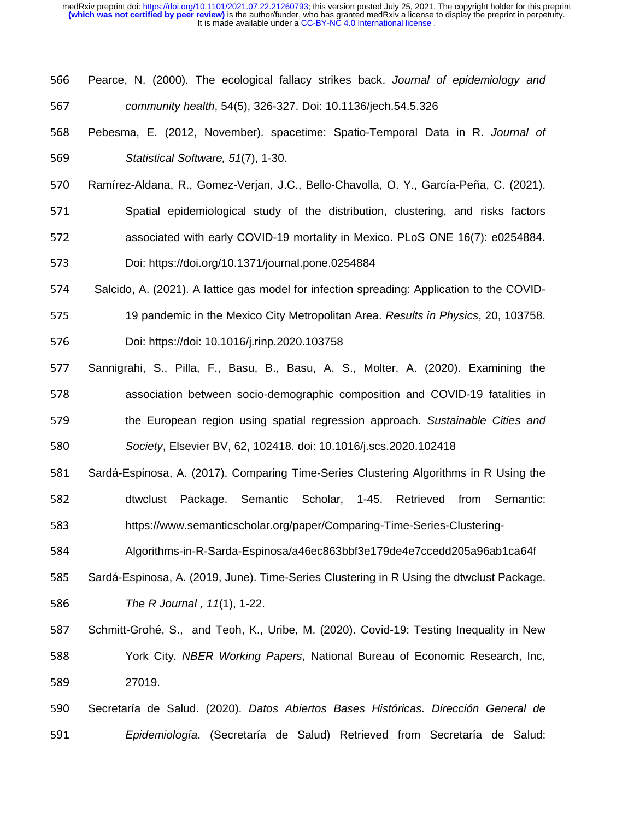| 566 | Pearce, N. (2000). The ecological fallacy strikes back. Journal of epidemiology and        |
|-----|--------------------------------------------------------------------------------------------|
| 567 | community health, 54(5), 326-327. Doi: 10.1136/jech.54.5.326                               |
| 568 | Pebesma, E. (2012, November). spacetime: Spatio-Temporal Data in R. Journal of             |
| 569 | Statistical Software, 51(7), 1-30.                                                         |
| 570 | Ramírez-Aldana, R., Gomez-Verjan, J.C., Bello-Chavolla, O. Y., García-Peña, C. (2021).     |
| 571 | Spatial epidemiological study of the distribution, clustering, and risks factors           |
| 572 | associated with early COVID-19 mortality in Mexico. PLoS ONE 16(7): e0254884.              |
| 573 | Doi: https://doi.org/10.1371/journal.pone.0254884                                          |
| 574 | Salcido, A. (2021). A lattice gas model for infection spreading: Application to the COVID- |
| 575 | 19 pandemic in the Mexico City Metropolitan Area. Results in Physics, 20, 103758.          |
| 576 | Doi: https://doi: 10.1016/j.rinp.2020.103758                                               |
| 577 | Sannigrahi, S., Pilla, F., Basu, B., Basu, A. S., Molter, A. (2020). Examining the         |
| 578 | association between socio-demographic composition and COVID-19 fatalities in               |
| 579 | the European region using spatial regression approach. Sustainable Cities and              |
| 580 | Society, Elsevier BV, 62, 102418. doi: 10.1016/j.scs.2020.102418                           |
| 581 | Sardá-Espinosa, A. (2017). Comparing Time-Series Clustering Algorithms in R Using the      |
| 582 | Package. Semantic Scholar, 1-45.<br>Retrieved<br>from<br>Semantic:<br>dtwclust             |
| 583 | https://www.semanticscholar.org/paper/Comparing-Time-Series-Clustering-                    |
| 584 | Algorithms-in-R-Sarda-Espinosa/a46ec863bbf3e179de4e7ccedd205a96ab1ca64f                    |
| 585 | Sardá-Espinosa, A. (2019, June). Time-Series Clustering in R Using the dtwclust Package.   |
| 586 | The R Journal, 11(1), 1-22.                                                                |
| 587 | Schmitt-Grohé, S., and Teoh, K., Uribe, M. (2020). Covid-19: Testing Inequality in New     |
| 588 | York City. NBER Working Papers, National Bureau of Economic Research, Inc,                 |
| 589 | 27019.                                                                                     |
| 590 | Secretaría de Salud. (2020). Datos Abiertos Bases Históricas. Dirección General de         |
| 591 | Epidemiología. (Secretaría de Salud) Retrieved from Secretaría de Salud:                   |
|     |                                                                                            |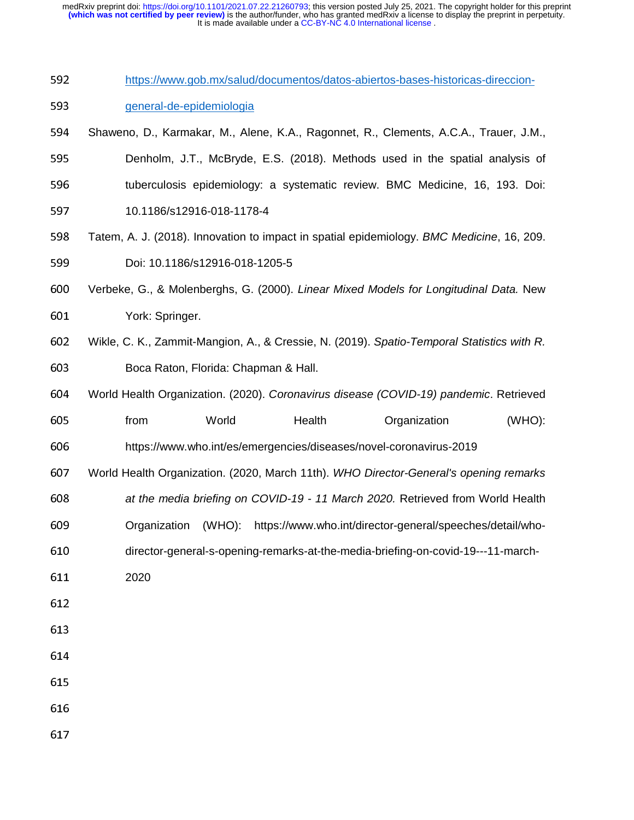| 592 | https://www.gob.mx/salud/documentos/datos-abiertos-bases-historicas-direccion-             |  |  |  |  |  |  |  |
|-----|--------------------------------------------------------------------------------------------|--|--|--|--|--|--|--|
| 593 | general-de-epidemiologia                                                                   |  |  |  |  |  |  |  |
| 594 | Shaweno, D., Karmakar, M., Alene, K.A., Ragonnet, R., Clements, A.C.A., Trauer, J.M.,      |  |  |  |  |  |  |  |
| 595 | Denholm, J.T., McBryde, E.S. (2018). Methods used in the spatial analysis of               |  |  |  |  |  |  |  |
| 596 | tuberculosis epidemiology: a systematic review. BMC Medicine, 16, 193. Doi:                |  |  |  |  |  |  |  |
| 597 | 10.1186/s12916-018-1178-4                                                                  |  |  |  |  |  |  |  |
| 598 | Tatem, A. J. (2018). Innovation to impact in spatial epidemiology. BMC Medicine, 16, 209.  |  |  |  |  |  |  |  |
| 599 | Doi: 10.1186/s12916-018-1205-5                                                             |  |  |  |  |  |  |  |
| 600 | Verbeke, G., & Molenberghs, G. (2000). Linear Mixed Models for Longitudinal Data. New      |  |  |  |  |  |  |  |
| 601 | York: Springer.                                                                            |  |  |  |  |  |  |  |
| 602 | Wikle, C. K., Zammit-Mangion, A., & Cressie, N. (2019). Spatio-Temporal Statistics with R. |  |  |  |  |  |  |  |
| 603 | Boca Raton, Florida: Chapman & Hall.                                                       |  |  |  |  |  |  |  |
| 604 | World Health Organization. (2020). Coronavirus disease (COVID-19) pandemic. Retrieved      |  |  |  |  |  |  |  |
| 605 | from<br>World<br>Health<br>Organization<br>$(WHO)$ :                                       |  |  |  |  |  |  |  |
| 606 | https://www.who.int/es/emergencies/diseases/novel-coronavirus-2019                         |  |  |  |  |  |  |  |
| 607 | World Health Organization. (2020, March 11th). WHO Director-General's opening remarks      |  |  |  |  |  |  |  |
| 608 | at the media briefing on COVID-19 - 11 March 2020. Retrieved from World Health             |  |  |  |  |  |  |  |
| 609 | Organization (WHO):<br>https://www.who.int/director-general/speeches/detail/who-           |  |  |  |  |  |  |  |
| 610 | director-general-s-opening-remarks-at-the-media-briefing-on-covid-19---11-march-           |  |  |  |  |  |  |  |
| 611 | 2020                                                                                       |  |  |  |  |  |  |  |
| 612 |                                                                                            |  |  |  |  |  |  |  |
| 613 |                                                                                            |  |  |  |  |  |  |  |
| 614 |                                                                                            |  |  |  |  |  |  |  |
| 615 |                                                                                            |  |  |  |  |  |  |  |
|     |                                                                                            |  |  |  |  |  |  |  |
| 616 |                                                                                            |  |  |  |  |  |  |  |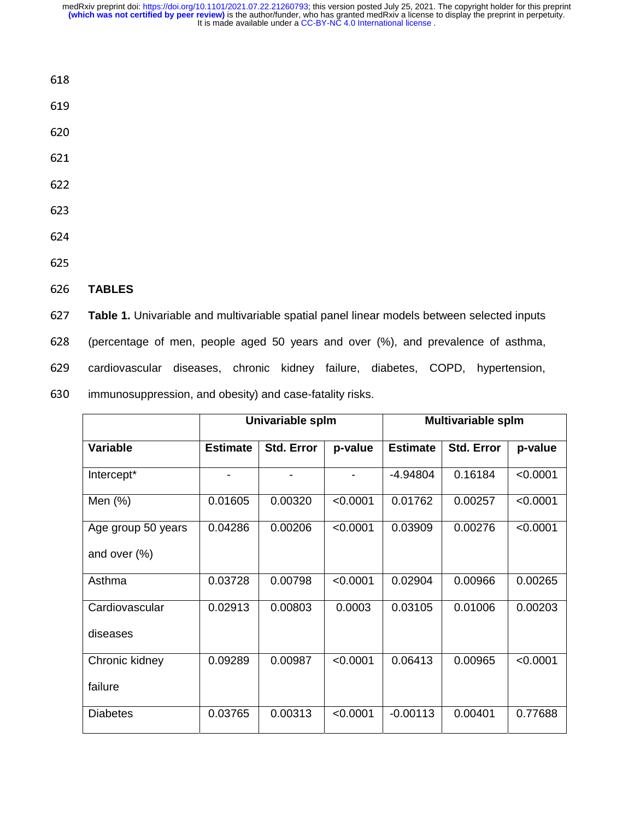- 618
- 619
- 
- 
- 
- 
- 
- 

#### <sup>626</sup>**TABLES**

<sup>627</sup>**Table 1.** Univariable and multivariable spatial panel linear models between selected inputs <sup>628</sup>(percentage of men, people aged 50 years and over (%), and prevalence of asthma, 629 cardiovascular diseases, chronic kidney failure, diabetes, COPD, hypertension, 630 immunosuppression, and obesity) and case-fatality risks.

|                    | Univariable splm |                   |          | <b>Multivariable splm</b> |                   |          |
|--------------------|------------------|-------------------|----------|---------------------------|-------------------|----------|
| <b>Variable</b>    | <b>Estimate</b>  | <b>Std. Error</b> | p-value  | <b>Estimate</b>           | <b>Std. Error</b> | p-value  |
| Intercept*         | $\blacksquare$   |                   |          | $-4.94804$                | 0.16184           | < 0.0001 |
| Men $(%)$          | 0.01605          | 0.00320           | < 0.0001 | 0.01762                   | 0.00257           | < 0.0001 |
| Age group 50 years | 0.04286          | 0.00206           | < 0.0001 | 0.03909                   | 0.00276           | < 0.0001 |
| and over $(\%)$    |                  |                   |          |                           |                   |          |
| Asthma             | 0.03728          | 0.00798           | < 0.0001 | 0.02904                   | 0.00966           | 0.00265  |
| Cardiovascular     | 0.02913          | 0.00803           | 0.0003   | 0.03105                   | 0.01006           | 0.00203  |
| diseases           |                  |                   |          |                           |                   |          |
| Chronic kidney     | 0.09289          | 0.00987           | < 0.0001 | 0.06413                   | 0.00965           | < 0.0001 |
| failure            |                  |                   |          |                           |                   |          |
| <b>Diabetes</b>    | 0.03765          | 0.00313           | < 0.0001 | $-0.00113$                | 0.00401           | 0.77688  |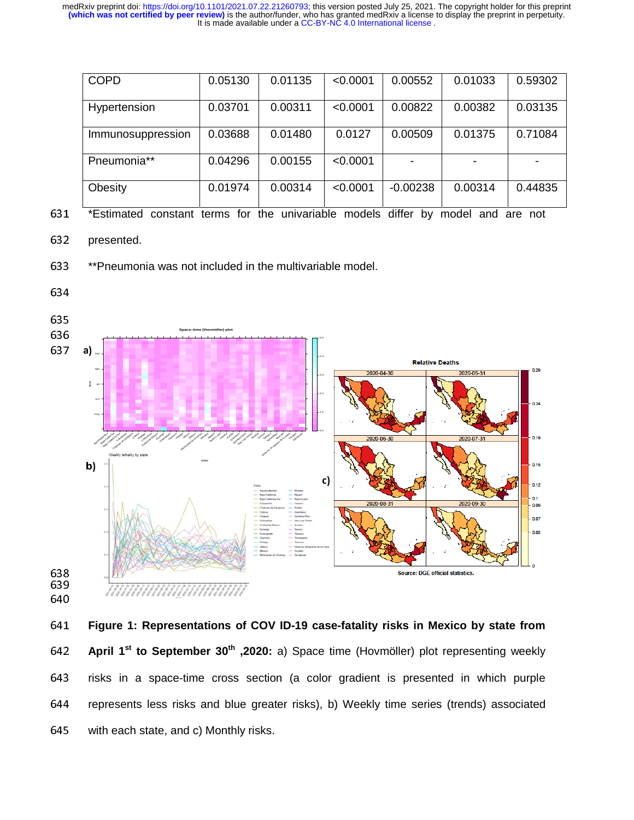| <b>COPD</b>       | 0.05130 | 0.01135 | < 0.0001 | 0.00552    | 0.01033 | 0.59302 |
|-------------------|---------|---------|----------|------------|---------|---------|
| Hypertension      | 0.03701 | 0.00311 | < 0.0001 | 0.00822    | 0.00382 | 0.03135 |
| Immunosuppression | 0.03688 | 0.01480 | 0.0127   | 0.00509    | 0.01375 | 0.71084 |
| Pneumonia**       | 0.04296 | 0.00155 | < 0.0001 |            |         |         |
| Obesity           | 0.01974 | 0.00314 | < 0.0001 | $-0.00238$ | 0.00314 | 0.44835 |

631 \*Estimated constant terms for the univariable models differ by model and are not

632 presented.

633 \*\*Pneumonia was not included in the multivariable model.



<sup>641</sup>**Figure 1: Representations of COV ID-19 case-fatality risks in Mexico by state from April 1<sup>st</sup> to September 30<sup>th</sup>** , 2020: a) Space time (Hovmöller) plot representing weekly 643 risks in a space-time cross section (a color gradient is presented in which purple 644 represents less risks and blue greater risks), b) Weekly time series (trends) associated 645 with each state, and c) Monthly risks.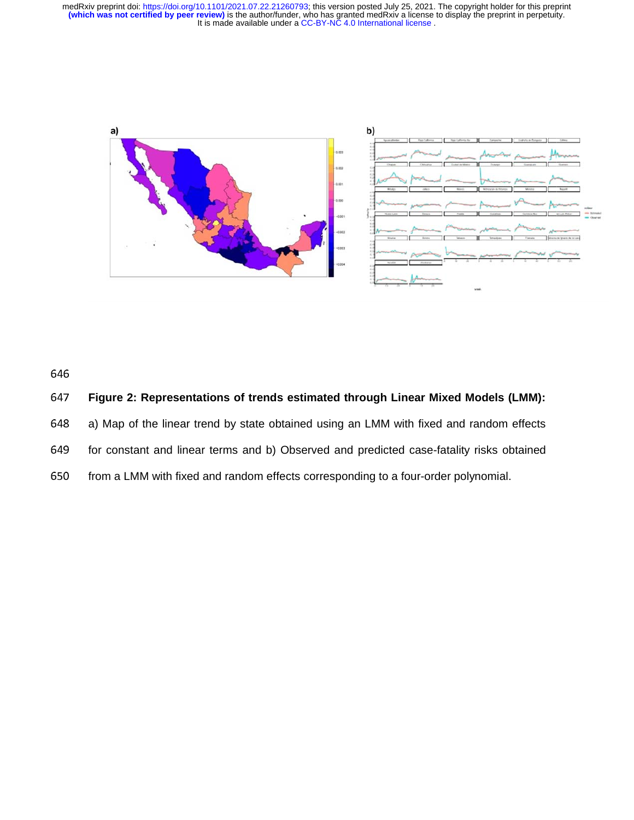

646

# <sup>647</sup>**Figure 2: Representations of trends estimated through Linear Mixed Models (LMM):**

648 a) Map of the linear trend by state obtained using an LMM with fixed and random effects

649 for constant and linear terms and b) Observed and predicted case-fatality risks obtained

650 from a LMM with fixed and random effects corresponding to a four-order polynomial.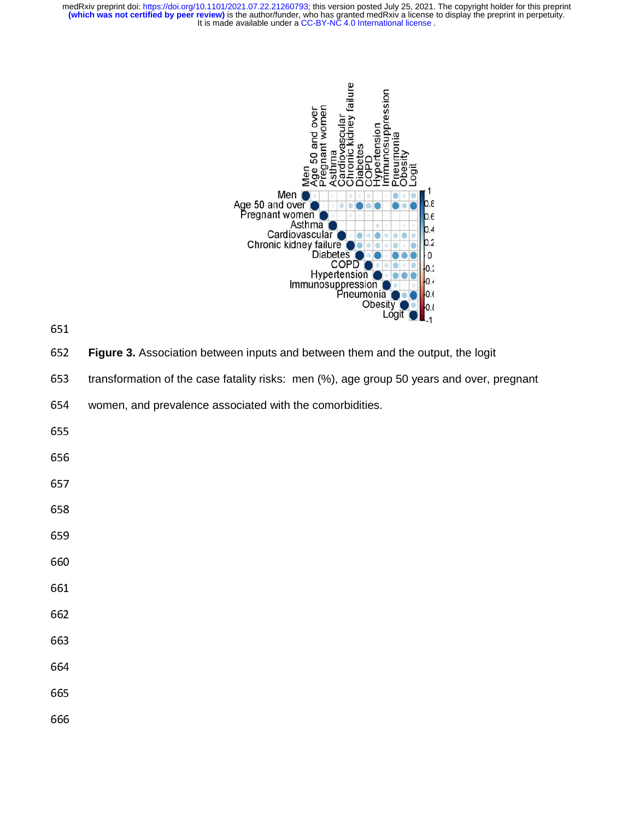

**Figure 3.** Association between inputs and between them and the output, the logit

653 transformation of the case fatality risks: men (%), age group 50 years and over, pregnant

654 women, and prevalence associated with the comorbidities.